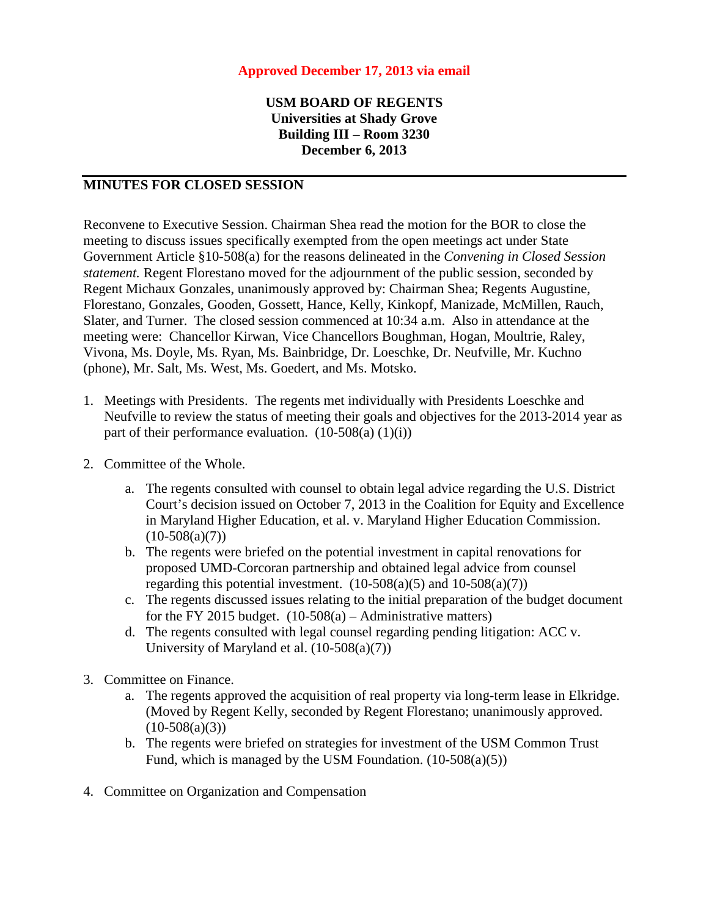## **Approved December 17, 2013 via email**

## **USM BOARD OF REGENTS Universities at Shady Grove Building III – Room 3230 December 6, 2013**

## **MINUTES FOR CLOSED SESSION**

Reconvene to Executive Session. Chairman Shea read the motion for the BOR to close the meeting to discuss issues specifically exempted from the open meetings act under State Government Article §10-508(a) for the reasons delineated in the *Convening in Closed Session statement.* Regent Florestano moved for the adjournment of the public session, seconded by Regent Michaux Gonzales, unanimously approved by: Chairman Shea; Regents Augustine, Florestano, Gonzales, Gooden, Gossett, Hance, Kelly, Kinkopf, Manizade, McMillen, Rauch, Slater, and Turner. The closed session commenced at 10:34 a.m. Also in attendance at the meeting were: Chancellor Kirwan, Vice Chancellors Boughman, Hogan, Moultrie, Raley, Vivona, Ms. Doyle, Ms. Ryan, Ms. Bainbridge, Dr. Loeschke, Dr. Neufville, Mr. Kuchno (phone), Mr. Salt, Ms. West, Ms. Goedert, and Ms. Motsko.

- 1. Meetings with Presidents. The regents met individually with Presidents Loeschke and Neufville to review the status of meeting their goals and objectives for the 2013-2014 year as part of their performance evaluation.  $(10-508(a) (1)(i))$
- 2. Committee of the Whole.
	- a. The regents consulted with counsel to obtain legal advice regarding the U.S. District Court's decision issued on October 7, 2013 in the Coalition for Equity and Excellence in Maryland Higher Education, et al. v. Maryland Higher Education Commission.  $(10-508(a)(7))$
	- b. The regents were briefed on the potential investment in capital renovations for proposed UMD-Corcoran partnership and obtained legal advice from counsel regarding this potential investment.  $(10-508(a)(5)$  and  $10-508(a)(7))$
	- c. The regents discussed issues relating to the initial preparation of the budget document for the FY 2015 budget.  $(10-508(a) -$ Administrative matters)
	- d. The regents consulted with legal counsel regarding pending litigation: ACC v. University of Maryland et al. (10-508(a)(7))
- 3. Committee on Finance.
	- a. The regents approved the acquisition of real property via long-term lease in Elkridge. (Moved by Regent Kelly, seconded by Regent Florestano; unanimously approved.  $(10-508(a)(3))$
	- b. The regents were briefed on strategies for investment of the USM Common Trust Fund, which is managed by the USM Foundation. (10-508(a)(5))
- 4. Committee on Organization and Compensation